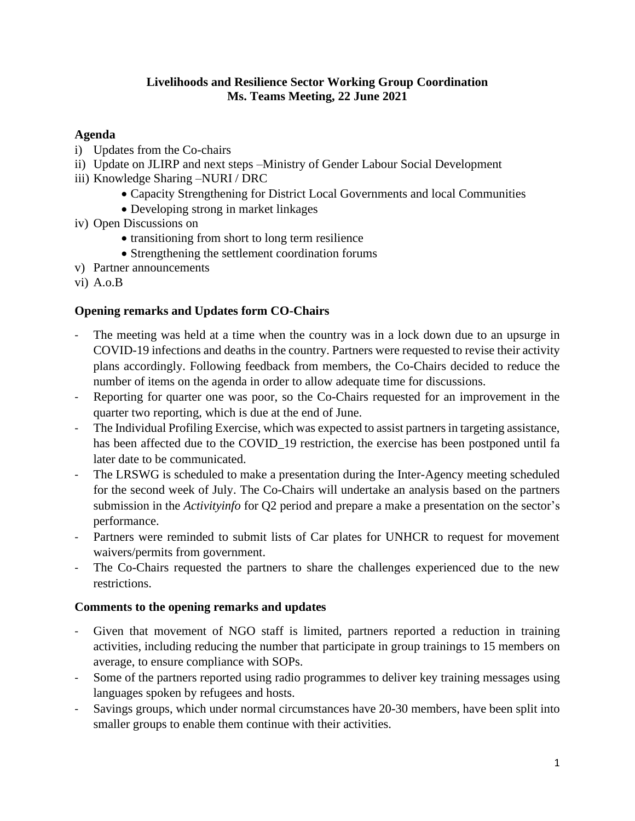### **Livelihoods and Resilience Sector Working Group Coordination Ms. Teams Meeting, 22 June 2021**

## **Agenda**

- i) Updates from the Co-chairs
- ii) Update on JLIRP and next steps –Ministry of Gender Labour Social Development
- iii) Knowledge Sharing –NURI / DRC
	- Capacity Strengthening for District Local Governments and local Communities
	- Developing strong in market linkages
- iv) Open Discussions on
	- transitioning from short to long term resilience
	- Strengthening the settlement coordination forums
- v) Partner announcements
- vi) A.o.B

# **Opening remarks and Updates form CO-Chairs**

- The meeting was held at a time when the country was in a lock down due to an upsurge in COVID-19 infections and deaths in the country. Partners were requested to revise their activity plans accordingly. Following feedback from members, the Co-Chairs decided to reduce the number of items on the agenda in order to allow adequate time for discussions.
- Reporting for quarter one was poor, so the Co-Chairs requested for an improvement in the quarter two reporting, which is due at the end of June.
- The Individual Profiling Exercise, which was expected to assist partners in targeting assistance, has been affected due to the COVID\_19 restriction, the exercise has been postponed until fa later date to be communicated.
- The LRSWG is scheduled to make a presentation during the Inter-Agency meeting scheduled for the second week of July. The Co-Chairs will undertake an analysis based on the partners submission in the *Activityinfo* for Q2 period and prepare a make a presentation on the sector's performance.
- Partners were reminded to submit lists of Car plates for UNHCR to request for movement waivers/permits from government.
- The Co-Chairs requested the partners to share the challenges experienced due to the new restrictions.

# **Comments to the opening remarks and updates**

- Given that movement of NGO staff is limited, partners reported a reduction in training activities, including reducing the number that participate in group trainings to 15 members on average, to ensure compliance with SOPs.
- Some of the partners reported using radio programmes to deliver key training messages using languages spoken by refugees and hosts.
- Savings groups, which under normal circumstances have 20-30 members, have been split into smaller groups to enable them continue with their activities.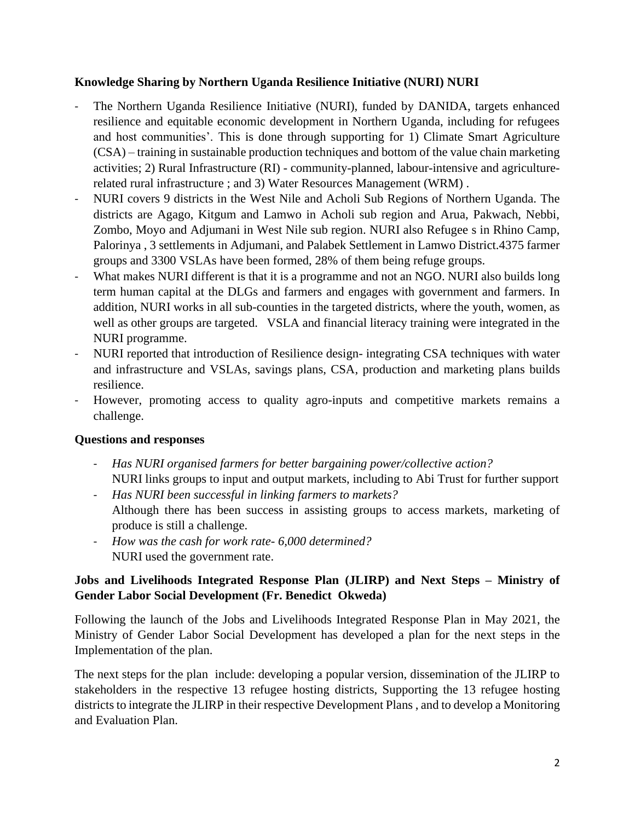## **Knowledge Sharing by Northern Uganda Resilience Initiative (NURI) NURI**

- The Northern Uganda Resilience Initiative (NURI), funded by DANIDA, targets enhanced resilience and equitable economic development in Northern Uganda, including for refugees and host communities'. This is done through supporting for 1) Climate Smart Agriculture (CSA) – training in sustainable production techniques and bottom of the value chain marketing activities; 2) Rural Infrastructure (RI) - community-planned, labour-intensive and agriculturerelated rural infrastructure ; and 3) Water Resources Management (WRM) .
- NURI covers 9 districts in the West Nile and Acholi Sub Regions of Northern Uganda. The districts are Agago, Kitgum and Lamwo in Acholi sub region and Arua, Pakwach, Nebbi, Zombo, Moyo and Adjumani in West Nile sub region. NURI also Refugee s in Rhino Camp, Palorinya , 3 settlements in Adjumani, and Palabek Settlement in Lamwo District.4375 farmer groups and 3300 VSLAs have been formed, 28% of them being refuge groups.
- What makes NURI different is that it is a programme and not an NGO. NURI also builds long term human capital at the DLGs and farmers and engages with government and farmers. In addition, NURI works in all sub-counties in the targeted districts, where the youth, women, as well as other groups are targeted. VSLA and financial literacy training were integrated in the NURI programme.
- NURI reported that introduction of Resilience design- integrating CSA techniques with water and infrastructure and VSLAs, savings plans, CSA, production and marketing plans builds resilience.
- However, promoting access to quality agro-inputs and competitive markets remains a challenge.

# **Questions and responses**

- *Has NURI organised farmers for better bargaining power/collective action?* NURI links groups to input and output markets, including to Abi Trust for further support
- *Has NURI been successful in linking farmers to markets?* Although there has been success in assisting groups to access markets, marketing of produce is still a challenge.
- *How was the cash for work rate- 6,000 determined?* NURI used the government rate.

# **Jobs and Livelihoods Integrated Response Plan (JLIRP) and Next Steps – Ministry of Gender Labor Social Development (Fr. Benedict Okweda)**

Following the launch of the Jobs and Livelihoods Integrated Response Plan in May 2021, the Ministry of Gender Labor Social Development has developed a plan for the next steps in the Implementation of the plan.

The next steps for the plan include: developing a popular version, dissemination of the JLIRP to stakeholders in the respective 13 refugee hosting districts, Supporting the 13 refugee hosting districts to integrate the JLIRP in their respective Development Plans , and to develop a Monitoring and Evaluation Plan.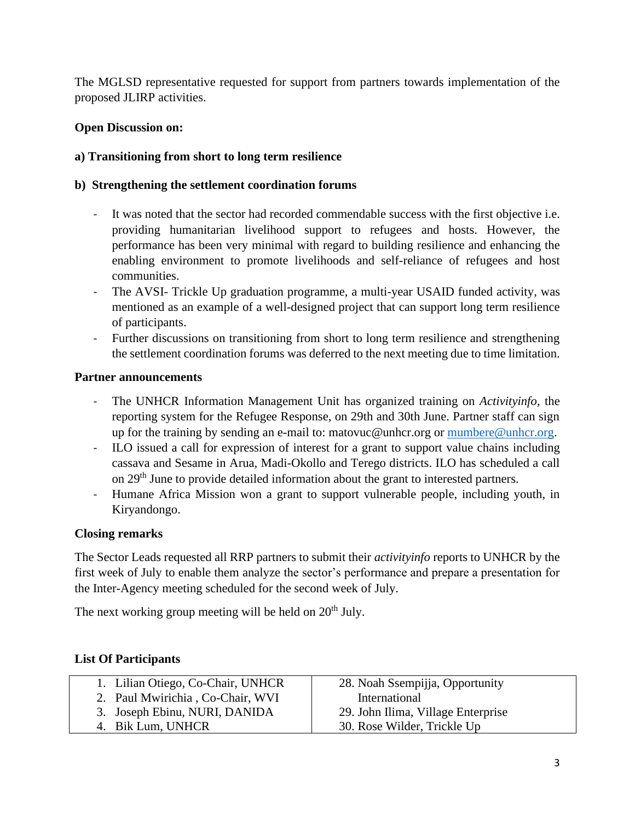The MGLSD representative requested for support from partners towards implementation of the proposed JLIRP activities.

# **Open Discussion on:**

# **a) Transitioning from short to long term resilience**

## **b) Strengthening the settlement coordination forums**

- It was noted that the sector had recorded commendable success with the first objective i.e. providing humanitarian livelihood support to refugees and hosts. However, the performance has been very minimal with regard to building resilience and enhancing the enabling environment to promote livelihoods and self-reliance of refugees and host communities.
- The AVSI- Trickle Up graduation programme, a multi-year USAID funded activity, was mentioned as an example of a well-designed project that can support long term resilience of participants.
- Further discussions on transitioning from short to long term resilience and strengthening the settlement coordination forums was deferred to the next meeting due to time limitation.

#### **Partner announcements**

- The UNHCR Information Management Unit has organized training on *Activityinfo*, the reporting system for the Refugee Response, on 29th and 30th June. Partner staff can sign up for the training by sending an e-mail to: matovuc@unhcr.org or [mumbere@unhcr.org.](mailto:mumbere@unhcr.org)
- ILO issued a call for expression of interest for a grant to support value chains including cassava and Sesame in Arua, Madi-Okollo and Terego districts. ILO has scheduled a call on 29<sup>th</sup> June to provide detailed information about the grant to interested partners.
- Humane Africa Mission won a grant to support vulnerable people, including youth, in Kiryandongo.

## **Closing remarks**

The Sector Leads requested all RRP partners to submit their *activityinfo* reports to UNHCR by the first week of July to enable them analyze the sector's performance and prepare a presentation for the Inter-Agency meeting scheduled for the second week of July.

The next working group meeting will be held on  $20<sup>th</sup>$  July.

## **List Of Participants**

| 1. Lilian Otiego, Co-Chair, UNHCR | 28. Noah Ssempijja, Opportunity    |
|-----------------------------------|------------------------------------|
| 2. Paul Mwirichia, Co-Chair, WVI  | International                      |
| 3. Joseph Ebinu, NURI, DANIDA     | 29. John Ilima, Village Enterprise |
| 4. Bik Lum, UNHCR                 | 30. Rose Wilder, Trickle Up        |